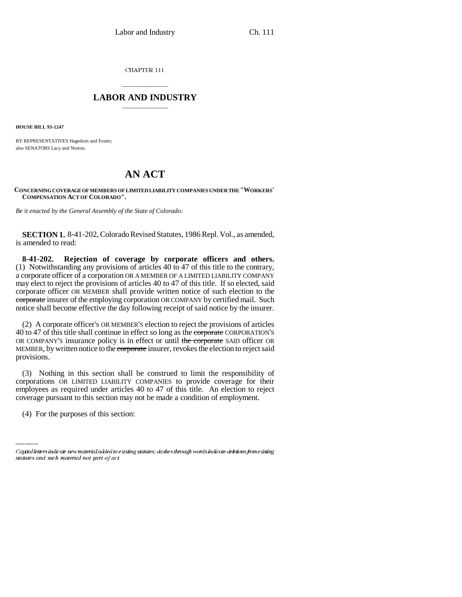CHAPTER 111

## \_\_\_\_\_\_\_\_\_\_\_\_\_\_\_ **LABOR AND INDUSTRY** \_\_\_\_\_\_\_\_\_\_\_\_\_\_\_

**HOUSE BILL 93-1247**

BY REPRESENTATIVES Hagedorn and Foster; also SENATORS Lacy and Norton.

## **AN ACT**

## **CONCERNING COVERAGE OF MEMBERS OF LIMITED LIABILITY COMPANIES UNDER THE "WORKERS' COMPENSATION ACT OF COLORADO".**

*Be it enacted by the General Assembly of the State of Colorado:*

**SECTION 1.** 8-41-202, Colorado Revised Statutes, 1986 Repl. Vol., as amended, is amended to read:

**8-41-202. Rejection of coverage by corporate officers and others.** (1) Notwithstanding any provisions of articles 40 to 47 of this title to the contrary, a corporate officer of a corporation OR A MEMBER OF A LIMITED LIABILITY COMPANY may elect to reject the provisions of articles 40 to 47 of this title. If so elected, said corporate officer OR MEMBER shall provide written notice of such election to the corporate insurer of the employing corporation OR COMPANY by certified mail. Such notice shall become effective the day following receipt of said notice by the insurer.

(2) A corporate officer's OR MEMBER'S election to reject the provisions of articles 40 to 47 of this title shall continue in effect so long as the corporate CORPORATION'S OR COMPANY'S insurance policy is in effect or until the corporate SAID officer OR MEMBER, by written notice to the corporate insurer, revokes the election to reject said provisions.

employees as required under articles 40 to 47 of this title. An election to reject (3) Nothing in this section shall be construed to limit the responsibility of corporations OR LIMITED LIABILITY COMPANIES to provide coverage for their coverage pursuant to this section may not be made a condition of employment.

(4) For the purposes of this section:

Capital letters indicate new material added to existing statutes; dashes through words indicate deletions from existing statutes and such material not part of act.